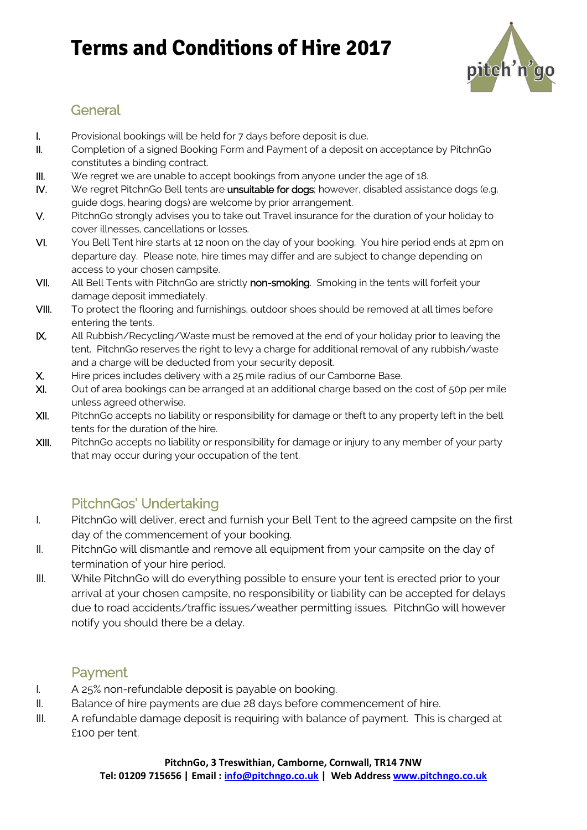# **Terms and Conditions of Hire 2017**



### **General**

- I. Provisional bookings will be held for 7 days before deposit is due.
- II. Completion of a signed Booking Form and Payment of a deposit on acceptance by PitchnGo constitutes a binding contract.
- III. We regret we are unable to accept bookings from anyone under the age of 18.
- IV. We regret PitchnGo Bell tents are unsuitable for dogs; however, disabled assistance dogs (e.g. guide dogs, hearing dogs) are welcome by prior arrangement.
- V. PitchnGo strongly advises you to take out Travel insurance for the duration of your holiday to cover illnesses, cancellations or losses.
- VI. You Bell Tent hire starts at 12 noon on the day of your booking. You hire period ends at 2pm on departure day. Please note, hire times may differ and are subject to change depending on access to your chosen campsite.
- VII. All Bell Tents with PitchnGo are strictly non-smoking. Smoking in the tents will forfeit your damage deposit immediately.
- VIII. To protect the flooring and furnishings, outdoor shoes should be removed at all times before entering the tents.
- IX. All Rubbish/Recycling/Waste must be removed at the end of your holiday prior to leaving the tent. PitchnGo reserves the right to levy a charge for additional removal of any rubbish/waste and a charge will be deducted from your security deposit.
- X. Hire prices includes delivery with a 25 mile radius of our Camborne Base.
- XI. Out of area bookings can be arranged at an additional charge based on the cost of 50p per mile unless agreed otherwise.
- XII. PitchnGo accepts no liability or responsibility for damage or theft to any property left in the bell tents for the duration of the hire.
- XIII. PitchnGo accepts no liability or responsibility for damage or injury to any member of your party that may occur during your occupation of the tent.

## PitchnGos' Undertaking

- I. PitchnGo will deliver, erect and furnish your Bell Tent to the agreed campsite on the first day of the commencement of your booking.
- II. PitchnGo will dismantle and remove all equipment from your campsite on the day of termination of your hire period.
- III. While PitchnGo will do everything possible to ensure your tent is erected prior to your arrival at your chosen campsite, no responsibility or liability can be accepted for delays due to road accidents/traffic issues/weather permitting issues. PitchnGo will however notify you should there be a delay.

#### Payment

- I. A 25% non-refundable deposit is payable on booking.
- II. Balance of hire payments are due 28 days before commencement of hire.
- III. A refundable damage deposit is requiring with balance of payment. This is charged at £100 per tent.

#### **PitchnGo, 3 Treswithian, Camborne, Cornwall, TR14 7NW**

**Tel: 01209 715656 | Email : info@pitchngo.co.uk | Web Address www.pitchngo.co.uk**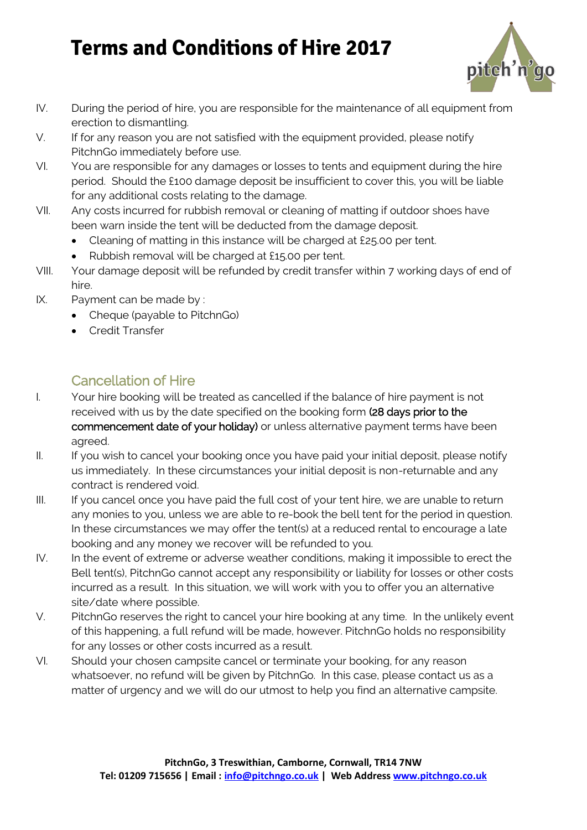# **Terms and Conditions of Hire 2017**



- IV. During the period of hire, you are responsible for the maintenance of all equipment from erection to dismantling.
- V. If for any reason you are not satisfied with the equipment provided, please notify PitchnGo immediately before use.
- VI. You are responsible for any damages or losses to tents and equipment during the hire period. Should the £100 damage deposit be insufficient to cover this, you will be liable for any additional costs relating to the damage.
- VII. Any costs incurred for rubbish removal or cleaning of matting if outdoor shoes have been warn inside the tent will be deducted from the damage deposit.
	- Cleaning of matting in this instance will be charged at £25.00 per tent.
	- Rubbish removal will be charged at £15.00 per tent.
- VIII. Your damage deposit will be refunded by credit transfer within 7 working days of end of hire.
- IX. Payment can be made by :
	- Cheque (payable to PitchnGo)
	- Credit Transfer

### Cancellation of Hire

- I. Your hire booking will be treated as cancelled if the balance of hire payment is not received with us by the date specified on the booking form (28 days prior to the commencement date of your holiday) or unless alternative payment terms have been agreed.
- II. If you wish to cancel your booking once you have paid your initial deposit, please notify us immediately. In these circumstances your initial deposit is non-returnable and any contract is rendered void.
- III. If you cancel once you have paid the full cost of your tent hire, we are unable to return any monies to you, unless we are able to re-book the bell tent for the period in question. In these circumstances we may offer the tent(s) at a reduced rental to encourage a late booking and any money we recover will be refunded to you.
- IV. In the event of extreme or adverse weather conditions, making it impossible to erect the Bell tent(s), PitchnGo cannot accept any responsibility or liability for losses or other costs incurred as a result. In this situation, we will work with you to offer you an alternative site/date where possible.
- V. PitchnGo reserves the right to cancel your hire booking at any time. In the unlikely event of this happening, a full refund will be made, however. PitchnGo holds no responsibility for any losses or other costs incurred as a result.
- VI. Should your chosen campsite cancel or terminate your booking, for any reason whatsoever, no refund will be given by PitchnGo. In this case, please contact us as a matter of urgency and we will do our utmost to help you find an alternative campsite.